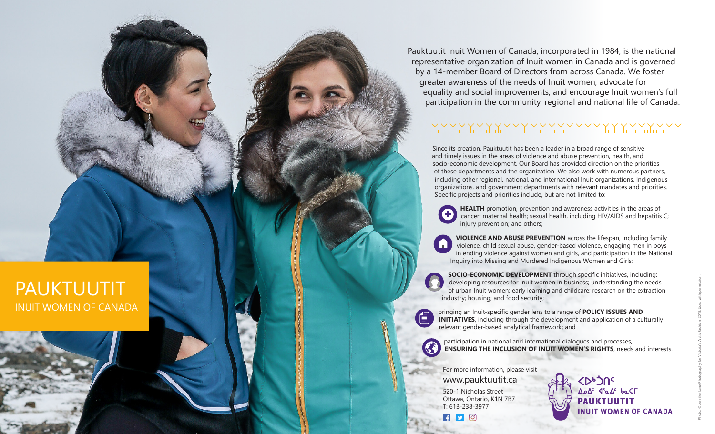PAUKTUUTIT INUIT WOMEN OF CANADA Pauktuutit Inuit Women of Canada, incorporated in 1984, is the national representative organization of Inuit women in Canada and is governed by a 14-member Board of Directors from across Canada. We foster greater awareness of the needs of Inuit women, advocate for equality and social improvements, and encourage Inuit women's full participation in the community, regional and national life of Canada.

## 

Since its creation, Pauktuutit has been a leader in a broad range of sensitive and timely issues in the areas of violence and abuse prevention, health, and socio-economic development. Our Board has provided direction on the priorities of these departments and the organization. We also work with numerous partners, including other regional, national, and international Inuit organizations, Indigenous organizations, and government departments with relevant mandates and priorities. Specific projects and priorities include, but are not limited to:

**HEALTH** promotion, prevention and awareness activities in the areas of cancer; maternal health; sexual health, including HIV/AIDS and hepatitis C; injury prevention; and others;

**VIOLENCE AND ABUSE PREVENTION** across the lifespan, including family violence, child sexual abuse, gender-based violence, engaging men in boys in ending violence against women and girls, and participation in the National Inquiry into Missing and Murdered Indigenous Women and Girls;

**SOCIO-ECONOMIC DEVELOPMENT** through specific initiatives, including: developing resources for Inuit women in business; understanding the needs of urban Inuit women; early learning and childcare; research on the extraction industry; housing; and food security;

bringing an Inuit-specific gender lens to a range of **POLICY ISSUES AND INITIATIVES**, including through the development and application of a culturally relevant gender-based analytical framework; and

participation in national and international dialogues and processes, **ENSURING THE INCLUSION OF INUIT WOMEN'S RIGHTS** , needs and interests.

For more information, please visit www.pauktuutit.ca 520-1 Nicholas Street Ottawa, Ontario, K1N 7B7 T: 613-238-3977

 $\bullet$   $\bullet$   $\bullet$